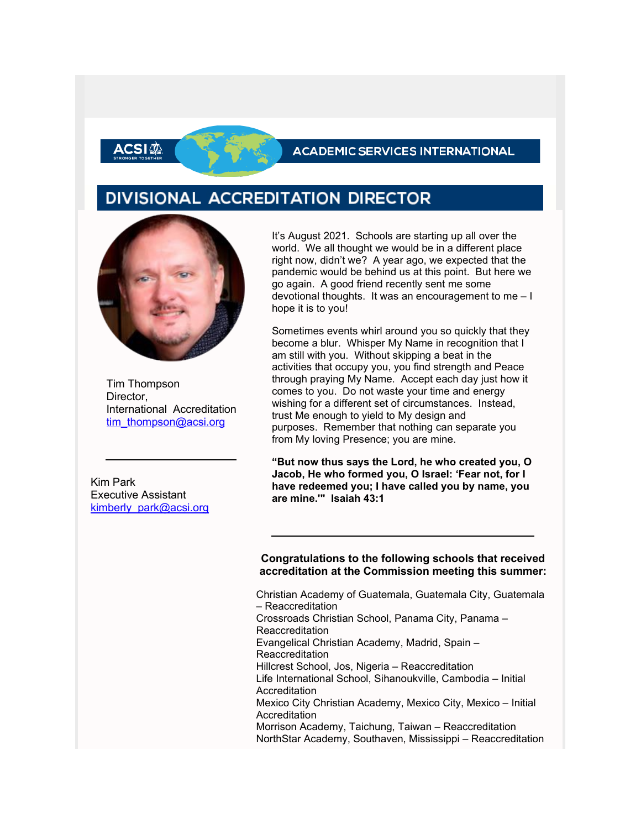### **ACADEMIC SERVICES INTERNATIONAL**

## DIVISIONAL ACCREDITATION DIRECTOR



\CSIの

Tim Thompson Director. International Accreditation [tim\\_thompson@acsi.org](mailto:tim_thompson@acsi.org)

Kim Park Executive Assistant kimberly park@acsi.org

It's August 2021. Schools are starting up all over the world. We all thought we would be in a different place right now, didn't we? A year ago, we expected that the pandemic would be behind us at this point. But here we go again. A good friend recently sent me some devotional thoughts. It was an encouragement to me – I hope it is to you!

Sometimes events whirl around you so quickly that they become a blur. Whisper My Name in recognition that I am still with you. Without skipping a beat in the activities that occupy you, you find strength and Peace through praying My Name. Accept each day just how it comes to you. Do not waste your time and energy wishing for a different set of circumstances. Instead, trust Me enough to yield to My design and purposes. Remember that nothing can separate you from My loving Presence; you are mine.

**"But now thus says the Lord, he who created you, O Jacob, He who formed you, O Israel: 'Fear not, for I have redeemed you; I have called you by name, you are mine.'" Isaiah 43:1**

#### **Congratulations to the following schools that received accreditation at the Commission meeting this summer:**

Christian Academy of Guatemala, Guatemala City, Guatemala – Reaccreditation Crossroads Christian School, Panama City, Panama – Reaccreditation Evangelical Christian Academy, Madrid, Spain – Reaccreditation Hillcrest School, Jos, Nigeria – Reaccreditation Life International School, Sihanoukville, Cambodia – Initial Accreditation Mexico City Christian Academy, Mexico City, Mexico – Initial **Accreditation** Morrison Academy, Taichung, Taiwan – Reaccreditation NorthStar Academy, Southaven, Mississippi – Reaccreditation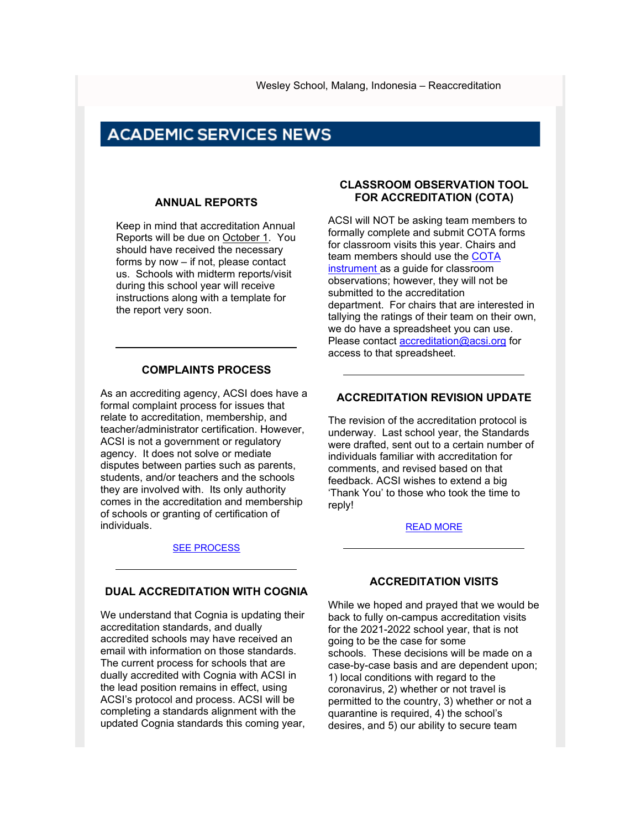## **ACADEMIC SERVICES NEWS**

#### **ANNUAL REPORTS**

Keep in mind that accreditation Annual Reports will be due on October 1. You should have received the necessary forms by now – if not, please contact us. Schools with midterm reports/visit during this school year will receive instructions along with a template for the report very soon.

#### **COMPLAINTS PROCESS**

As an accrediting agency, ACSI does have a formal complaint process for issues that relate to accreditation, membership, and teacher/administrator certification. However, ACSI is not a government or regulatory agency. It does not solve or mediate disputes between parties such as parents, students, and/or teachers and the schools they are involved with. Its only authority comes in the accreditation and membership of schools or granting of certification of individuals.

#### [SEE PROCESS](http://link.acsi.org/c/6/?T=ODcyOTMzMTM%3AMDItYjIxMjUyLWE5NzRhOTYzYTQ5NjQ3Y2M4ZjUxN2JiYmFmY2MxZDU0%3Aa2ltYmVybHlfcGFya0BhY3NpLm9yZw%3AY29udGFjdC0xNDM0NTlhZDNjNjNlODExODBkMDAyYmZjMGE4MDE3Mi1mNTdiMWZiYzczYjQ0MjQxOThhMjAyYTY2ODEzMGE4NA%3AZmFsc2U%3AMg%3A%3AaHR0cHM6Ly93d3cuYWNzaS5vcmcvYWNjcmVkaXRhdGlvbi1jZXJ0aWZpY2F0aW9uL2FjY3JlZGl0YXRpb24tZm9yLXNjaG9vbHMvYWNhZGVtaWMtc2VydmljZXMtbmV3c2xldHRlci1pbmZvP19jbGRlZT1hMmx0WW1WeWJIbGZjR0Z5YTBCaFkzTnBMbTl5WnclM2QlM2QmcmVjaXBpZW50aWQ9Y29udGFjdC0xNDM0NTlhZDNjNjNlODExODBkMDAyYmZjMGE4MDE3Mi1mNTdiMWZiYzczYjQ0MjQxOThhMjAyYTY2ODEzMGE4NCZlc2lkPTUxNDdhODM2LWVkMDQtZWMxMS04MTEzLTAwMGQzYTAxY2ZkMw&K=64p8XhDrOtWCCk5m1pibVg)

#### **DUAL ACCREDITATION WITH COGNIA**

We understand that Cognia is updating their accreditation standards, and dually accredited schools may have received an email with information on those standards. The current process for schools that are dually accredited with Cognia with ACSI in the lead position remains in effect, using ACSI's protocol and process. ACSI will be completing a standards alignment with the updated Cognia standards this coming year,

#### **CLASSROOM OBSERVATION TOOL FOR ACCREDITATION (COTA)**

ACSI will NOT be asking team members to formally complete and submit COTA forms for classroom visits this year. Chairs and team members should use the [COTA](http://link.acsi.org/c/6/?T=ODcyOTMzMTM%3AMDItYjIxMjUyLWE5NzRhOTYzYTQ5NjQ3Y2M4ZjUxN2JiYmFmY2MxZDU0%3Aa2ltYmVybHlfcGFya0BhY3NpLm9yZw%3AY29udGFjdC0xNDM0NTlhZDNjNjNlODExODBkMDAyYmZjMGE4MDE3Mi1mNTdiMWZiYzczYjQ0MjQxOThhMjAyYTY2ODEzMGE4NA%3AZmFsc2U%3AMw%3A%3AaHR0cHM6Ly93d3cuYWNzaS5vcmcvYWNjcmVkaXRhdGlvbi1jZXJ0aWZpY2F0aW9uL2FjY3JlZGl0YXRpb24tZm9yLXNjaG9vbHMvcmVhY2gtY2xhc3Nyb29tLW9ic2VydmF0aW9uLXRvb2wtZm9yLWFjY3JlZGl0YXRpb24_X2NsZGVlPWEybHRZbVZ5YkhsZmNHRnlhMEJoWTNOcExtOXladyUzZCUzZCZyZWNpcGllbnRpZD1jb250YWN0LTE0MzQ1OWFkM2M2M2U4MTE4MGQwMDJiZmMwYTgwMTcyLWY1N2IxZmJjNzNiNDQyNDE5OGEyMDJhNjY4MTMwYTg0JmVzaWQ9NTE0N2E4MzYtZWQwNC1lYzExLTgxMTMtMDAwZDNhMDFjZmQz&K=7BZ8Vx0rP8Cwe2jQUnj4cQ)  [instrument a](http://link.acsi.org/c/6/?T=ODcyOTMzMTM%3AMDItYjIxMjUyLWE5NzRhOTYzYTQ5NjQ3Y2M4ZjUxN2JiYmFmY2MxZDU0%3Aa2ltYmVybHlfcGFya0BhY3NpLm9yZw%3AY29udGFjdC0xNDM0NTlhZDNjNjNlODExODBkMDAyYmZjMGE4MDE3Mi1mNTdiMWZiYzczYjQ0MjQxOThhMjAyYTY2ODEzMGE4NA%3AZmFsc2U%3AMw%3A%3AaHR0cHM6Ly93d3cuYWNzaS5vcmcvYWNjcmVkaXRhdGlvbi1jZXJ0aWZpY2F0aW9uL2FjY3JlZGl0YXRpb24tZm9yLXNjaG9vbHMvcmVhY2gtY2xhc3Nyb29tLW9ic2VydmF0aW9uLXRvb2wtZm9yLWFjY3JlZGl0YXRpb24_X2NsZGVlPWEybHRZbVZ5YkhsZmNHRnlhMEJoWTNOcExtOXladyUzZCUzZCZyZWNpcGllbnRpZD1jb250YWN0LTE0MzQ1OWFkM2M2M2U4MTE4MGQwMDJiZmMwYTgwMTcyLWY1N2IxZmJjNzNiNDQyNDE5OGEyMDJhNjY4MTMwYTg0JmVzaWQ9NTE0N2E4MzYtZWQwNC1lYzExLTgxMTMtMDAwZDNhMDFjZmQz&K=7BZ8Vx0rP8Cwe2jQUnj4cQ)s a quide for classroom observations; however, they will not be submitted to the accreditation department. For chairs that are interested in tallying the ratings of their team on their own, we do have a spreadsheet you can use. Please contact [accreditation@acsi.org](mailto:accreditation@acsi.org) for access to that spreadsheet.

#### **ACCREDITATION REVISION UPDATE**

The revision of the accreditation protocol is underway. Last school year, the Standards were drafted, sent out to a certain number of individuals familiar with accreditation for comments, and revised based on that feedback. ACSI wishes to extend a big 'Thank You' to those who took the time to reply!

#### [READ MORE](http://link.acsi.org/c/6/?T=ODcyOTMzMTM%3AMDItYjIxMjUyLWE5NzRhOTYzYTQ5NjQ3Y2M4ZjUxN2JiYmFmY2MxZDU0%3Aa2ltYmVybHlfcGFya0BhY3NpLm9yZw%3AY29udGFjdC0xNDM0NTlhZDNjNjNlODExODBkMDAyYmZjMGE4MDE3Mi1mNTdiMWZiYzczYjQ0MjQxOThhMjAyYTY2ODEzMGE4NA%3AZmFsc2U%3ANA%3A%3AaHR0cHM6Ly93d3cuYWNzaS5vcmcvYWNjcmVkaXRhdGlvbi1jZXJ0aWZpY2F0aW9uL2FjY3JlZGl0YXRpb24tZm9yLXNjaG9vbHMvYWNhZGVtaWMtc2VydmljZXMtbmV3c2xldHRlci1pbmZvP19jbGRlZT1hMmx0WW1WeWJIbGZjR0Z5YTBCaFkzTnBMbTl5WnclM2QlM2QmcmVjaXBpZW50aWQ9Y29udGFjdC0xNDM0NTlhZDNjNjNlODExODBkMDAyYmZjMGE4MDE3Mi1mNTdiMWZiYzczYjQ0MjQxOThhMjAyYTY2ODEzMGE4NCZlc2lkPTUxNDdhODM2LWVkMDQtZWMxMS04MTEzLTAwMGQzYTAxY2ZkMw&K=bK-QIk20BR87nHcPJsE2FA)

#### **ACCREDITATION VISITS**

While we hoped and prayed that we would be back to fully on-campus accreditation visits for the 2021-2022 school year, that is not going to be the case for some schools. These decisions will be made on a case-by-case basis and are dependent upon; 1) local conditions with regard to the coronavirus, 2) whether or not travel is permitted to the country, 3) whether or not a quarantine is required, 4) the school's desires, and 5) our ability to secure team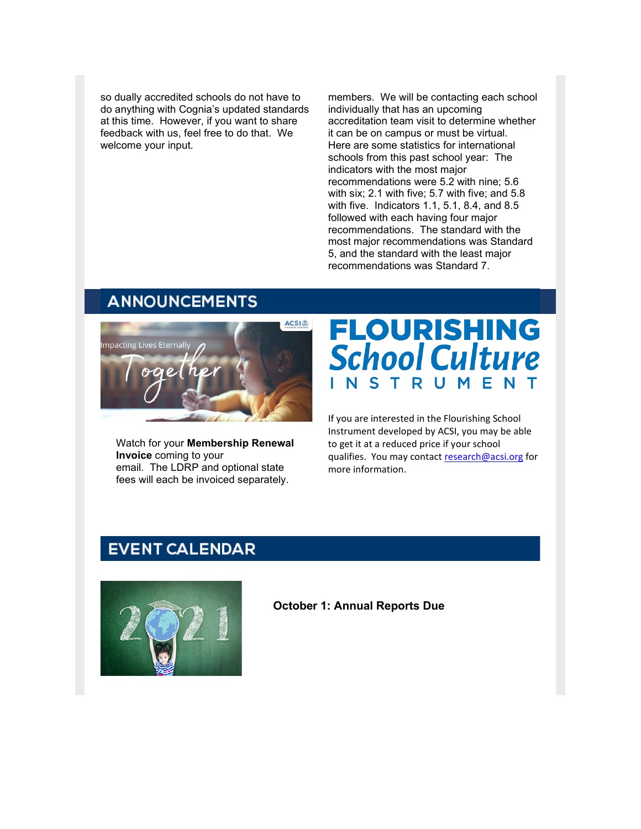so dually accredited schools do not have to do anything with Cognia's updated standards at this time. However, if you want to share feedback with us, feel free to do that. We welcome your input.

members. We will be contacting each school individually that has an upcoming accreditation team visit to determine whether it can be on campus or must be virtual. Here are some statistics for international schools from this past school year: The indicators with the most major recommendations were 5.2 with nine; 5.6 with six; 2.1 with five; 5.7 with five; and 5.8 with five. Indicators 1.1, 5.1, 8.4, and 8.5 followed with each having four major recommendations. The standard with the most major recommendations was Standard 5, and the standard with the least major recommendations was Standard 7.

## **ANNOUNCEMENTS**



Watch for your **Membership Renewal Invoice** coming to your email. The LDRP and optional state fees will each be invoiced separately.

# **FLOURISHING School Culture** NSTRUMENT

If you are interested in the Flourishing School Instrument developed by ACSI, you may be able to get it at a reduced price if your school qualifies. You may contact [research@acsi.org](mailto:research@acsi.org) for more information.

## **EVENT CALENDAR**



**October 1: Annual Reports Due**